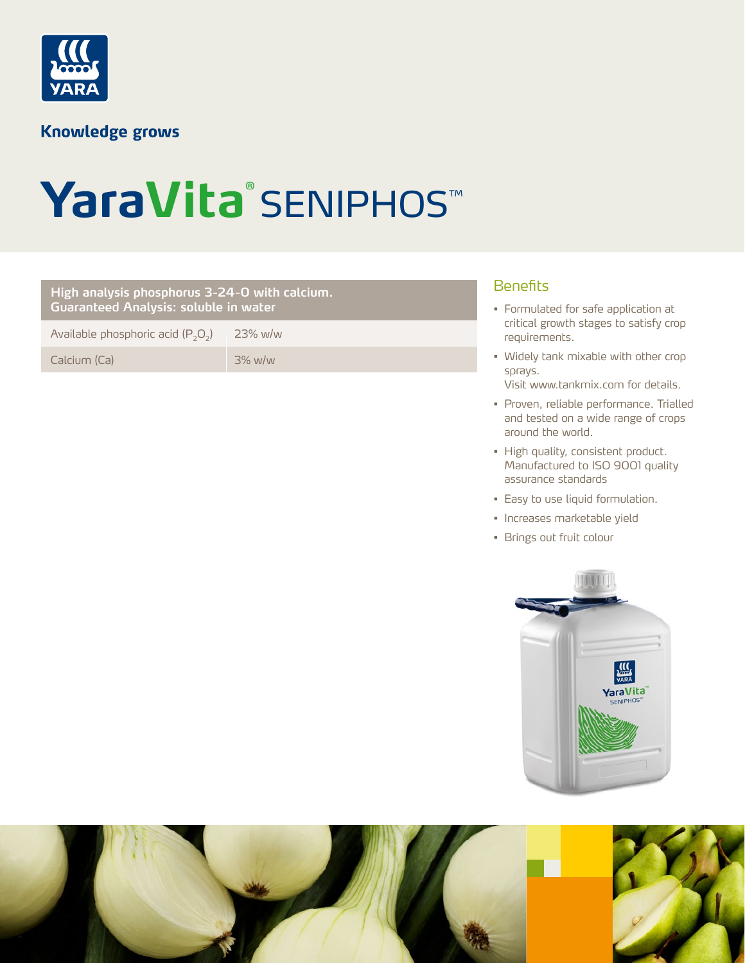

**Knowledge grows** 

## YaraVita<sup>®</sup> SENIPHOS™

## Benefits **High analysis phosphorus 3-24-0 with calcium. Guaranteed Analysis: soluble in water** Available phosphoric acid  $(P_2O_2)$  23% w/w Calcium (Ca) 3% w/w

- Formulated for safe application at critical growth stages to satisfy crop requirements.
- Widely tank mixable with other crop sprays. Visit www.tankmix.com for details.
- Proven, reliable performance. Trialled and tested on a wide range of crops around the world.
- High quality, consistent product. Manufactured to ISO 9001 quality assurance standards
- Easy to use liquid formulation.
- Increases marketable yield
- Brings out fruit colour